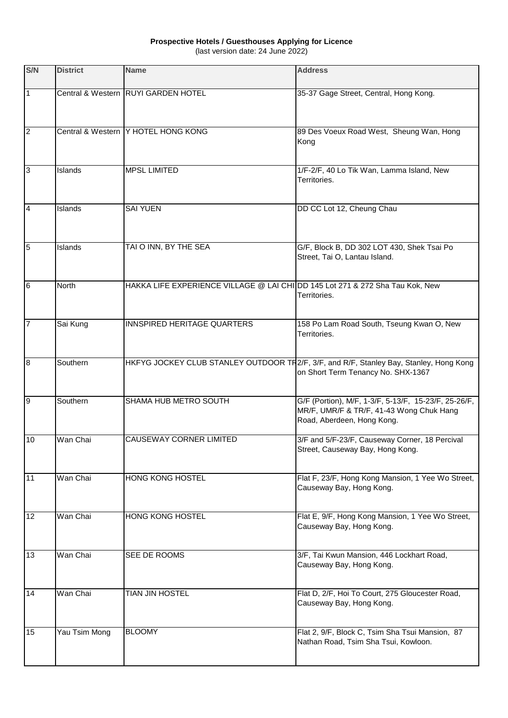## **Prospective Hotels / Guesthouses Applying for Licence**

(last version date: 24 June 2022)

| S/N            | <b>District</b> | <b>Name</b>                                                                   | <b>Address</b>                                                                                                                 |
|----------------|-----------------|-------------------------------------------------------------------------------|--------------------------------------------------------------------------------------------------------------------------------|
| 11             |                 | Central & Western RUYI GARDEN HOTEL                                           | 35-37 Gage Street, Central, Hong Kong.                                                                                         |
| $\overline{2}$ |                 | Central & Western   Y HOTEL HONG KONG                                         | 89 Des Voeux Road West, Sheung Wan, Hong<br>Kong                                                                               |
| 3              | Islands         | <b>MPSL LIMITED</b>                                                           | 1/F-2/F, 40 Lo Tik Wan, Lamma Island, New<br>Territories.                                                                      |
| $\overline{4}$ | Islands         | <b>SAI YUEN</b>                                                               | DD CC Lot 12, Cheung Chau                                                                                                      |
| $\overline{5}$ | Islands         | TAI O INN, BY THE SEA                                                         | G/F, Block B, DD 302 LOT 430, Shek Tsai Po<br>Street, Tai O, Lantau Island.                                                    |
| 6              | North           | HAKKA LIFE EXPERIENCE VILLAGE @ LAI CHI DD 145 Lot 271 & 272 Sha Tau Kok, New | Territories.                                                                                                                   |
| 7              | Sai Kung        | INNSPIRED HERITAGE QUARTERS                                                   | 158 Po Lam Road South, Tseung Kwan O, New<br>Territories.                                                                      |
| $\overline{8}$ | Southern        |                                                                               | HKFYG JOCKEY CLUB STANLEY OUTDOOR TR2/F, 3/F, and R/F, Stanley Bay, Stanley, Hong Kong<br>on Short Term Tenancy No. SHX-1367   |
| 9              | Southern        | SHAMA HUB METRO SOUTH                                                         | G/F (Portion), M/F, 1-3/F, 5-13/F, 15-23/F, 25-26/F,<br>MR/F, UMR/F & TR/F, 41-43 Wong Chuk Hang<br>Road, Aberdeen, Hong Kong. |
| 10             | Wan Chai        | CAUSEWAY CORNER LIMITED                                                       | 3/F and 5/F-23/F, Causeway Corner, 18 Percival<br>Street, Causeway Bay, Hong Kong.                                             |
| 11             | Wan Chai        | <b>HONG KONG HOSTEL</b>                                                       | Flat F, 23/F, Hong Kong Mansion, 1 Yee Wo Street,<br>Causeway Bay, Hong Kong.                                                  |
| 12             | Wan Chai        | HONG KONG HOSTEL                                                              | Flat E, 9/F, Hong Kong Mansion, 1 Yee Wo Street,<br>Causeway Bay, Hong Kong.                                                   |
| 13             | Wan Chai        | SEE DE ROOMS                                                                  | 3/F, Tai Kwun Mansion, 446 Lockhart Road,<br>Causeway Bay, Hong Kong.                                                          |
| 14             | Wan Chai        | <b>TIAN JIN HOSTEL</b>                                                        | Flat D, 2/F, Hoi To Court, 275 Gloucester Road,<br>Causeway Bay, Hong Kong.                                                    |
| 15             | Yau Tsim Mong   | <b>BLOOMY</b>                                                                 | Flat 2, 9/F, Block C, Tsim Sha Tsui Mansion, 87<br>Nathan Road, Tsim Sha Tsui, Kowloon.                                        |